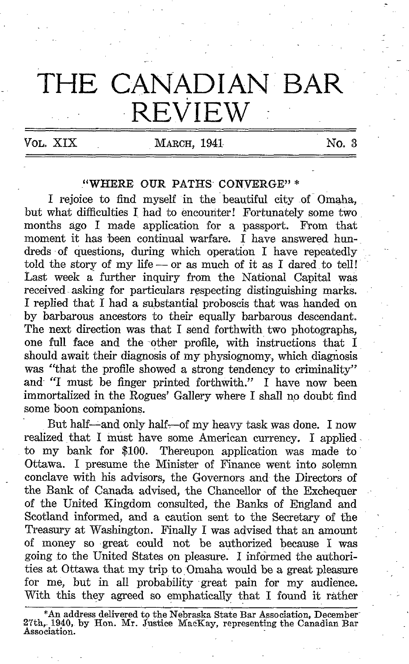## THE CANADIAN BAR **REVIEW**

VOL. XIX MARCH, 1941 NO. 3

## "WHERE OUR PATHS CONVERGE"\*

I rejoice to find myself in the beautiful city of Omaha, but what difficulties I had to encounter! Fortunately some two months ago <sup>I</sup> made application for a passport. From that moment it has been continual warfare. I have answered hundreds of questions, during which operation I have repeatedly told the story of my life  $-$  or as much of it as I dared to tell! Last week a further inquiry from the National Capital was received asking for particulars respecting distinguishing marks. <sup>I</sup> replied that <sup>I</sup> had a substantial proboscis that was. handed on by barbarous ancestors to their equally barbarous descendant. The next direction was that <sup>I</sup> send forthwith two photographs, one full face and the other profile, with instructions that I should await their diagnosis of my physiognomy, which diagnosis was "that the profile showed a strong tendency to criminality" and "I must be finger printed forthwith." I have now been immortalized in the Rogues' Gallery where <sup>I</sup> shall no doubt find some boon companions.

But half--and only half--of my heavy task was done. I now realized that I must have some American currency. I applied to my bank for \$100. Thereupon application was made to Ottawa. <sup>I</sup> presume the Minister of Finance went into solemn conclave with his advisors, the Governors and the Directors of the Bank of Canada advised, the Chancellor of the Exchequer of the United Kingdom consulted, the Banks of England and Scotland informed, and a caution sent to the Secretary of the Treasury at Washington. Finally <sup>I</sup> was advised that an amount of money so great could not be authorized because <sup>I</sup> was going to the United States on pleasure . I informed the authorities at Ottawa that my trip to Omaha would be a great pleasure for me, but in all probability great pain for my audience. With this they agreed so emphatically that <sup>I</sup> found it rather

<sup>\*</sup>An address delivered to the Nebraska State Bar Association, December-27th, 1940, by Hon. Mr. Justice MacKay, representing the Canadian Bar Association .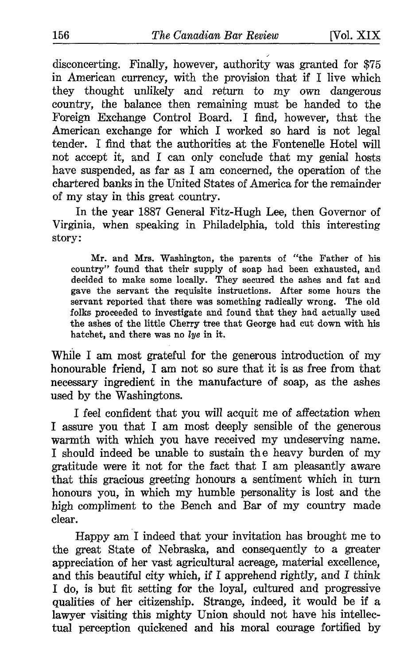disconcerting. Finally, however, authority was granted for \$75 in American currency, with the provision that if I live which they thought unlikely and return to my own dangerous country, the balance then remaining must be handed to the Foreign Exchange Control Board. I find, however, that the American exchange for which I worked so hard is not legal tender. I find that the authorities at the Fontenelle Hotel will not accept it, and <sup>I</sup> can only conclude that my genial hosts have suspended, as far as <sup>I</sup> am concerned, the operation of the chartered banks in the United States of America for the remainder of my stay in this great country.

In the year 1887 General Fitz-Hugh Lee, then Governor of Virginia, when speaking in Philadelphia, told this interesting story:

Mr. and Mrs. Washington, the parents of "the Father of his country" found that their supply of soap had been exhausted, and decided to make some locally. They secured the ashes and fat and gave the servant the requisite instructions . After some hours the servant reported that there was something radically wrong. The old folks proceeded to investigate and found that they had actually used the ashes of the little Cherry tree that George had cut down with his hatchet, and there was no lye in it.

While <sup>I</sup> am most grateful for the generous introduction of my honourable friend, <sup>I</sup> am not so sure that it is as free from that necessary ingredient in the manufacture of soap, as the ashes used by the Washingtons.

<sup>I</sup> feel confident that you will acquit me of affectation when <sup>I</sup> assure you that <sup>I</sup> am most deeply sensible of the generous warmth with which you have received my undeserving name. <sup>I</sup> should indeed be unable to sustain th e heavy burden of my gratitude were it not for the fact that <sup>I</sup> am pleasantly aware that this gracious greeting honours a sentiment which in turn honours you, in which my humble personality is lost and the high compliment to the Bench and Bar of my country made clear.

Happy am <sup>I</sup> indeed that your invitation has brought me to the great State of Nebraska, and consequently to a greater appreciation of her vast agricultural acreage, material excellence, and this beautiful city which, if <sup>I</sup> apprehend rightly, and <sup>I</sup> think I do, is but fit setting for the loyal, cultured and progressive qualities of her citizenship. Strange, indeed, it would be if a lawyer visiting this mighty Union should not have his intellectual perception quickened and his moral courage fortified by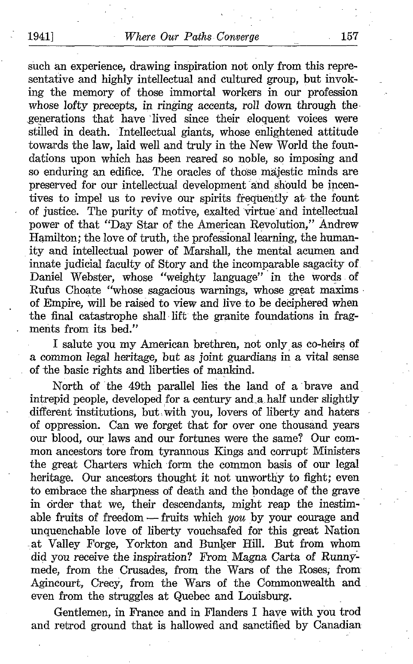such an experience, drawing inspiration not only from this representative and highly intellectual and cultured group, but invoking the memory of those immortal workers in our profession whose lofty precepts, in ringing accents, roll down through the-,generations that have 'lived since their eloquent voices were stilled in death. Intellectual giants, whose enlightened attitude towards the law, laid well and truly in the New World the foundations upon which has been reared so noble, so imposing and so enduring an edifice. The oracles of those majestic minds are preserved for our intellectual development and should be incentives to impel us to revive our spirits frequently at- the fount of justice. The purity of motive, exalted virtue'and intellectual power of that "Day Star of the American Revolution," Andrew Hamilton; the love of truth, the professional learning, the humanity and intellectual power of Marshall, the mental acumen and innate judicial faculty of Story and the incomparable sagacity of. Daniel Webster, whose "weighty language" in the words of Rufus Choate "whose sagacious warnings, whose great maxims of Empire, will be raised to view and live,to be deciphered when the final catastrophe shall lift the granite foundations in fragments from its bed."

<sup>I</sup> salute you my American brethren, not only, as co-heirs of a common legal heritage, but as joint guardians in a vital sense of the basic rights and liberties of mankind.

North of the 49th parallel lies the land of a brave and intrepid people, developed for a century and\_a.half under slightly different institutions, but with you, lovers of liberty and haters of oppression. Can we forget that for over one thousand years our blood, our laws and our fortunes were the same? Our common ancestors tore from tyrannous Kings and corrupt Ministers the great Charters which form the common basis of our legal heritage. Our ancestors thought it not unworthy to fight; even to embrace the sharpness of death and the bondage of the grave in order that we, their descendants, might reap the inestimable fruits of freedom - fruits which you by your courage and unquenchable love of liberty vouchsafed for this great Nation at Valley Forge, Yorkton and Bunker Hill. But from whom did you receive the inspiration? From, Magna Carta of Runnymede, from the Crusades, from the Wars of the Roses; from Agincourt, Crecy, from the Wars of the Commonwealth and even from the struggles at Quebec and Louisburg.

Gentlemen, in France and in Flanders <sup>I</sup> have with you trod and retrod ground that is hallowed and sanctified by Canadian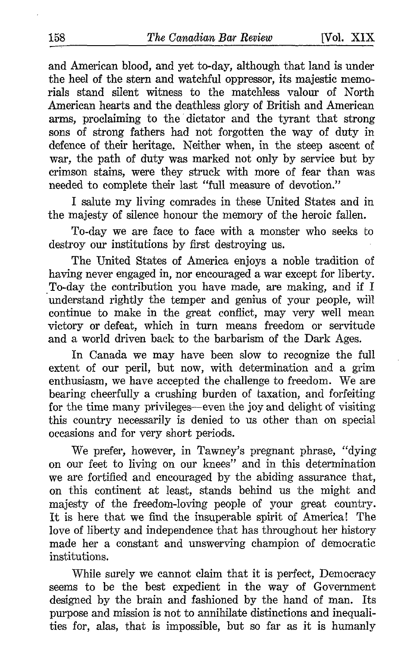and American blood, and yet to-day, although that land is under the heel of the stern and watchful oppressor, its majestic memorials stand silent witness to the matchless valour of North American hearts and the deathless glory of British and American arms, proclaiming to the dictator and the tyrant that strong sons of strong fathers had not forgotten the way of duty in defence of their heritage. Neither when, in the steep ascent of war, the path of duty was marked not only by service but by crimson stains, were they struck with more of fear than was needed to complete their last "full measure of devotion."

<sup>I</sup> salute my living comrades in these United States and in the majesty of silence honour the memory of the heroic fallen.

To-day we are face to face with a monster who seeks to destroy our institutions by first destroying us.

The United States of America enjoys a noble tradition of having never engaged in, nor encouraged a war except for liberty. To-day the contribution you have made, are making, and if <sup>I</sup> understand rightly the temper and genius of your people, will continue to make in the great conflict, may very well mean victory or defeat, which in turn means freedom or servitude and a world driven back to the barbarism of the Dark Ages.

In Canada we may have been slow to recognize the full extent of our peril, but now, with determination and a grim enthusiasm, we have accepted the challenge to freedom. We are bearing cheerfully a crushing burden of taxation, and forfeiting for the time many privileges-even the joy and delight of visiting this country necessarily is denied to us other than on special occasions and for very short periods.

We prefer, however, in Tawney's pregnant phrase, "dying on our feet to living on our knees" and in this determination we are fortified and encouraged by the abiding assurance that, on this continent at least, stands behind us the might and majesty of the freedom-loving people of your great country. It is here that we find the insuperable spirit of America! The love of liberty and independence that has throughout her history made her a constant and unswerving champion of democratic institutions .

While surely we cannot claim that it is perfect, Democracy seems to be the best expedient in the way of Government designed by the brain and fashioned by the hand of man. Its purpose and mission is not to annihilate distinctions and inequalities for, alas, that is impossible, but so far as it is humanly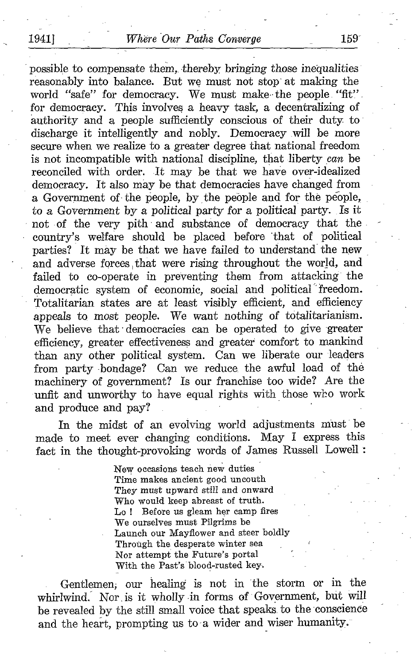possible to compensate them, thereby bringing those inequalities reasonably into balance. But we must not stop' at making the world "safe" for democracy. We must make the people "fit". for democracy. This involves a heavy task, a decentralizing of authority and a people sufficiently conscious of their duty to discharge it intelligently and nobly. Democracy will be more secure when we realize to a greater degree that national freedom is not incompatible with national discipline, that liberty can be reconciled with order. It may be that we have over-idealized democracy. It also may be that democracies have changed from a Government of the people, by the people and for the people, to a Government by a political party for a political party. Is it not of the very pith and substance of democracy that the country's welfare should be placed before that of \_ political parties? It may be that we have failed to understand the new and adverse forces, that were rising throughout the world, and failed to co-operate in preventing them from attacking the democratic system of economic, social and political freedom. Totalitarian states are at least visibly efficient, and efficiency appeals to most people. We want nothing of totalitarianism. We believe that democracies can be operated to give greater efficiency, greater effectiveness and greater comfort to mankind than any other political system. Can we liberate our leaders from party bondage? Can we reduce the awful load of the machinery of government? Is our franchise too wide? Are the unfit and unworthy to have equal rights with those who work and produce and pay?

In the midst of an evolving world adjustments must be made to meet ever changing conditions. May <sup>I</sup> express this fact in the thought-provoking words of James Russell Lowell

> New occasions teach new duties Time makes ancient good uncouth They must upward still and onward Who would keep abreast of truth. Lo ! Before us gleam her camp fires We ourselves must Pilgrims be Launch our Mayflower and steer boldly Through the desperate winter sea Nor attempt the Future's portal With the Past's blood-rusted key.

Gentlemen, our healing is not in the storm or in the whirlwind. Nor is it wholly in forms of Government, but will be revealed by the still small voice that speaks, to the conscience and the heart, prompting us to a wider and wiser humanity.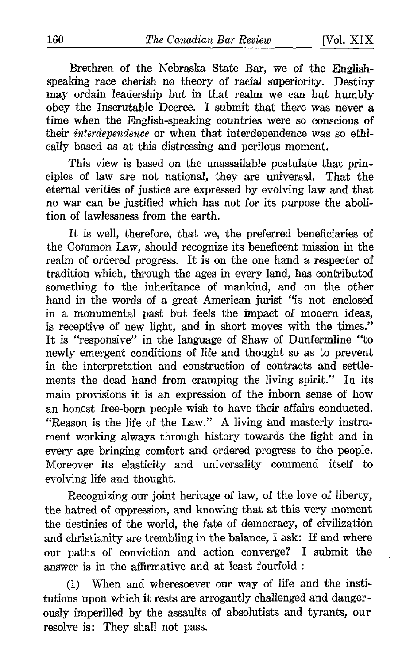Brethren of the Nebraska, State Bar, we of the Englishspeaking race cherish no theory of racial superiority. Destiny may ordain leadership but in that realm we can but humbly obey the Inscrutable Decree. <sup>I</sup> submit that there was never a time when the English-speaking countries were so conscious of their interdependence or when that interdependence was so ethically based as at this distressing and perilous moment.

This view is based on the unassailable postulate that principles of law are not national, they are universal. That the eternal verities of justice are expressed by evolving law and that no war can be justified which has not for its purpose the abolition of lawlessness from the earth.

It is well, therefore, that we, the preferred beneficiaries of the Common Law, should recognize its beneficent mission in the realm of ordered progress. It is on the one hand a respecter of tradition which, through the ages in every land, has contributed something to the inheritance of mankind, and on the other hand in the words of a great American jurist "is not enclosed in a monumental past but feels the impact of modern ideas, is receptive of new light, and in short moves with the times." It is "responsive" in the language of Shaw of Dunfermline "to newly emergent conditions of life and thought so as to prevent in the interpretation and construction of contracts and settlements the dead hand from cramping the living spirit." In its main provisions it is an expression of the inborn sense of how an honest free-born people wish to have their affairs conducted. "Reason is the life of the Law." A living and masterly instrument working always through history towards the light and in every age bringing comfort and ordered progress to the people. Moreover its elasticity and universality commend itself to evolving life and thought.

Recognizing our joint heritage of law, of the love of liberty, the hatred of oppression, and knowing that at this very moment the destinies of the world, the fate of democracy, of civilization and christianity are trembling in the balance, <sup>I</sup> ask: If and where our paths of conviction and action converge? I submit the answer is in the affirmative and at least fourfold

(1) When and wheresoever our way of life and the institutions upon which it rests are arrogantly challenged and dangerously imperilled by the assaults of absolutists and tyrants, our resolve is: They shall not pass.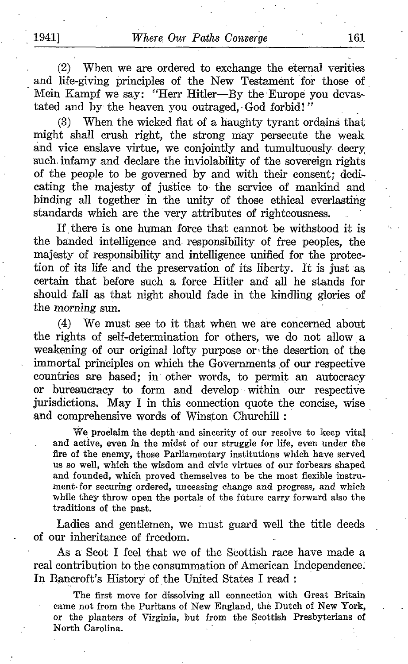(2) When we are ordered to exchange the eternal verities and life-giving principles of the New Testament for those of Mein Kampf we say: "Herr Hitler-By the Europe you devastated and by the heaven you outraged, God forbid!"

(3) When the wicked fiat of a haughty tyrant ordains that might shall crush right, the strong may persecute the weak and vice enslave virtue, we conjointly and tumultuously decry, such. infamy and declare the inviolability of the sovereign rights of the people to be governed by and with their consent; dedicating the majesty of justice to- the service of mankind and binding all together in the unity of those ethical everlasting standards which are the very attributes of righteousness .

If there is one human force that cannot be withstood it is the banded intelligence and responsibility of free peoples, the majesty of responsibility and intelligence unified for the protec tion of its life and the preservation of its liberty. It is just as certain that before such a force Hitler and all he stands for should fall as that night should fade in the kindling glories of the morning sun.

(4) We must- see to it that when we are concerned about the rights of self-determination for others, we do not allow a weakening of our original lofty purpose or the desertion of the immortal principles on which the Governments of our respective countries are based; in other words, to permit an autocracy or bureaucracy to form and develop- within our respective jurisdictions. May I in this connection quote the concise, wise and comprehensive words of Winston Churchill :

We proclaim the depth-and sincerity of our resolve to keep vital and active, even in the midst of our struggle for life, even under the fire of the enemy, those Parliamentary institutions which have served us so well, which the wisdom and civic virtues of our forbears shaped and founded, which proved themselves to be the most flexible instrument-for securing ordered, unceasing change and progress, and which while they throw open the portals of the future carry forward also the traditions of the past.

Ladies and gentlemen, we must guard well the title deeds of our inheritance of freedom.

As a Scot <sup>I</sup> feel that we of the Scottish race have made a real contribution to the consummation of American Independence. In Bancroft's History of the United States I read:

The first move for dissolving all connection with Great Britain came not from the Puritans of New England, the Dutch of New York, or the planters of Virginia, but from the Scottish Presbyterians of North Carolina.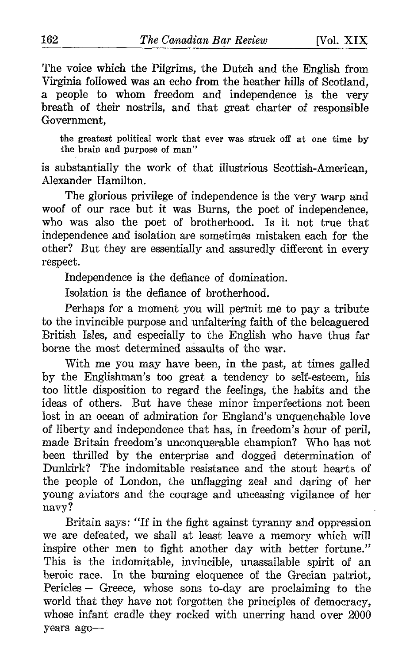The voice which the Pilgrims, the Dutch and the English from Virginia followed was an echo from the heather hills of Scotland, a people to whom freedom and independence is the very breath of their nostrils, and that great charter of responsible Government,

the greatest political work that ever was struck off at one time by the brain and purpose of man"

is substantially the work of that illustrious Scottish-American, Alexander Hamilton.

The glorious privilege of independence is the very warp and woof of our race but it was Burns, the poet of independence, who was also the poet of brotherhood. Is it not true that independence and isolation are sometimes mistaken each for the other? But they are essentially and assuredly different in every respect.

Independence is the defiance of domination.

Isolation is the defiance of brotherhood.

Perhaps for a moment you will permit me to pay a tribute to the invincible purpose and unfaltering faith of the beleaguered British Isles, and especially to the English who have thus far borne the most determined assaults of the war.

With me you may have been, in the past, at times galled by the Englishman's too great a tendency to self-esteem, his too little disposition to regard the feelings, the habits and the ideas of others. But have these minor imperfections not been lost in an ocean of admiration for England's unquenchable love of liberty and independence that has, in freedom's hour of peril, made Britain freedom's unconquerable champion? Who has not been thrilled by the enterprise and dogged determination of Dunkirk? The indomitable resistance and the stout hearts of the people of London, the unflagging zeal and daring of her young aviators and the courage and unceasing vigilance of her navy?

Britain says: "If in the fight against tyranny and oppression we are defeated, we shall at least leave a memory which will inspire other men to fight another day with better fortune." This is the indomitable, invincible, unassailable spirit of an heroic race. In the burning eloquence of the Grecian patriot, Pericles - Greece, whose sons to-day are proclaiming to the world that they have not forgotten the principles of democracy, whose infant cradle they rocked with unerring hand over 2000 years ago-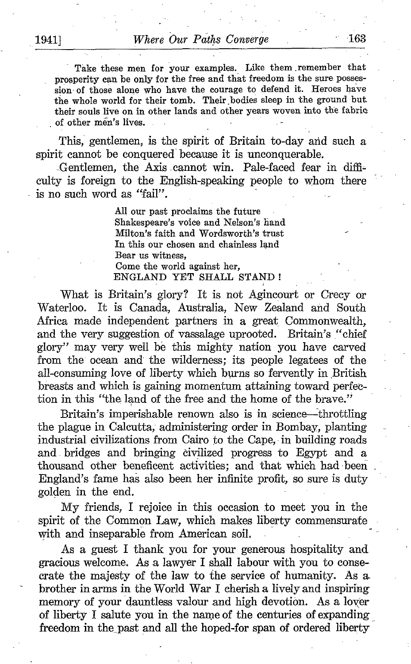Take these men for your examples. Like them remember that prosperity can be only for the free and that freedom is the sure possession of those alone who have the courage to defend it. Heroes have the whole world for their tomb. Their bodies sleep in the ground but. their souls live on in other lands and other years woven into the fabric of other men's lives.

This, gentlemen, is the spirit of Britain to-day and such a spirit cannot be conquered because it is unconquerable.

-Gentlemen, the Axis,cannot win. Pale-faced fear in difficulty is foreign to the English-speaking people to whom there is no such word as "fail".

> All our past proclaims the future Shakespeare's voice and Nelson's hand Milton's faith and Wordsworth's trust In this our chosen and chainless land Bear us witness, Come the world against her, ENGLAND YET SHALL STAND!

What is Britain's glory? It is not Agincourt or Crecy or Waterloo. It is Canada, Australia, New Zealand and South Africa made independent partners in a great Commonwealth, and the very suggestion of vassalage uprooted. Britain's "chief glory" may very well be this mighty nation you have carved from the ocean and the wilderness; its people legatees of the all-consuming love of liberty which burns so fervently in British breasts and which is gaining momentum attaining toward perfection in this "the land of the free and the home of the brave."

Britain's imperishable renown also is in science-throttling the plague in Calcutta, administering order in Bombay, planting industrial civilizations from Cairo to the Cape, in building roads and, bridges and bringing civilized progress to Egypt and a thousand other beneficent activities; and that which had been . England's fame has also been her infinite profit, so sure is duty golden in the end.

My friends, <sup>I</sup> rejoice in this occasion to meet you in the spirit of the Common Law, which makes liberty commensurate with and inseparable from American soil.

As a guest <sup>I</sup> thank you for your generous hospitality and gracious welcome. As a lawyer <sup>I</sup> shall labour with you to consecrate the majesty of the law to the service of humanity. As a< brother in arms in the World War <sup>I</sup> cherish a lively and inspiring memory of your dauntless valour and high devotion. As a lover of liberty <sup>I</sup> salute you in the name of the centuries of expanding freedom in the past and all the hoped-for span of ordered liberty